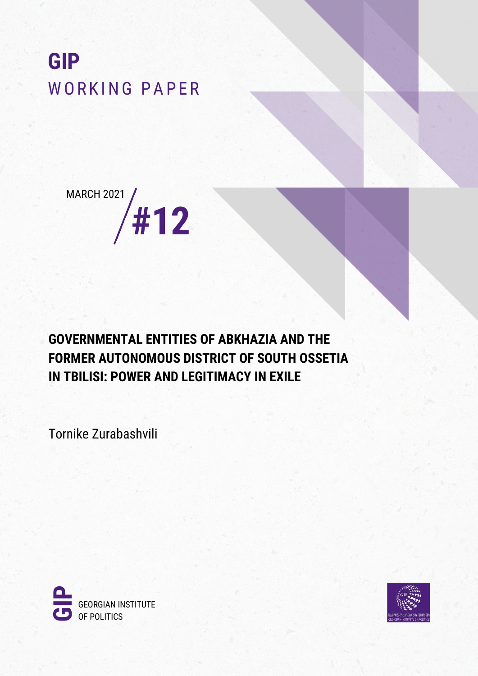# **GIP** WORKING PAPER



**GOVERNMENTAL ENTITIES OF ABKHAZIA AND THE FORMER AUTONOMOUS DISTRICT OF SOUTH OSSETIA IN TBILISI: POWER AND LEGITIMACY IN EXILE**

Tornike Zurabashvili



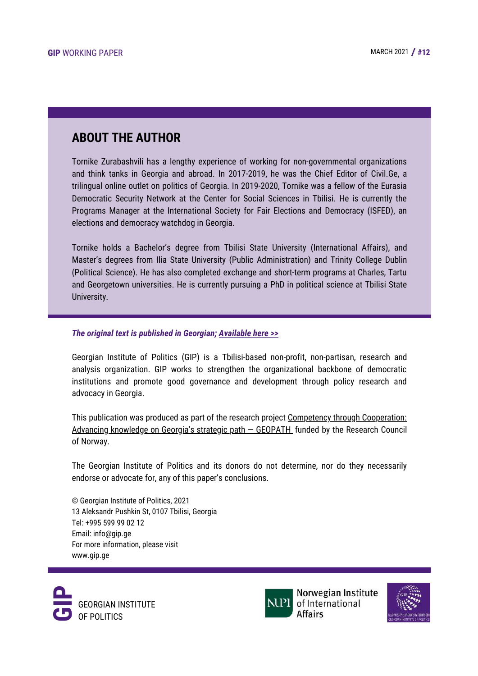### **ABOUT THE AUTHOR**

Tornike Zurabashvili has a lengthy experience of working for non-governmental organizations and think tanks in Georgia and abroad. In 2017-2019, he was the Chief Editor of Civil.Ge, a trilingual online outlet on politics of Georgia. In 2019-2020, Tornike was a fellow of the Eurasia Democratic Security Network at the Center for Social Sciences in Tbilisi. He is currently the Programs Manager at the International Society for Fair Elections and Democracy (ISFED), an elections and democracy watchdog in Georgia.

Tornike holds a Bachelor's degree from Tbilisi State University (International Affairs), and Master's degrees from Ilia State University (Public Administration) and Trinity College Dublin (Political Science). He has also completed exchange and short-term programs at Charles, Tartu and Georgetown universities. He is currently pursuing a PhD in political science at Tbilisi State University.

#### *The original text is published in Georgian; [Available](http://gip.ge/ge/%e1%83%90%e1%83%a4%e1%83%ae%e1%83%90%e1%83%96%e1%83%94%e1%83%97%e1%83%98%e1%83%a1%e1%83%90-%e1%83%93%e1%83%90-%e1%83%a7%e1%83%9d%e1%83%a4%e1%83%98%e1%83%9a%e1%83%98-%e1%83%a1%e1%83%90%e1%83%9b/) here >>*

Georgian Institute of Politics (GIP) is a Tbilisi-based non-profit, non-partisan, research and analysis organization. GIP works to strengthen the organizational backbone of democratic institutions and promote good governance and development through policy research and advocacy in Georgia.

This publication was produced as part of the research project Competency through [Cooperation:](https://www.nupi.no/nupi_eng/About-NUPI/Projects-centers/Competency-through-Cooperation-Advancing-knowledge-on-Georgia-s-strategic-path) Advancing knowledge on Georgia's strategic path - GEOPATH funded by the Research Council of Norway.

The Georgian Institute of Politics and its donors do not determine, nor do they necessarily endorse or advocate for, any of this paper's conclusions.

© Georgian Institute of Politics, 2021 13 Aleksandr Pushkin St, 0107 Tbilisi, Georgia Tel: +995 599 99 02 12 Email: info@gip.ge For more information, please visit [www.gip.ge](http://gip.ge/)





Norwegian Institute of International **Affairs** 

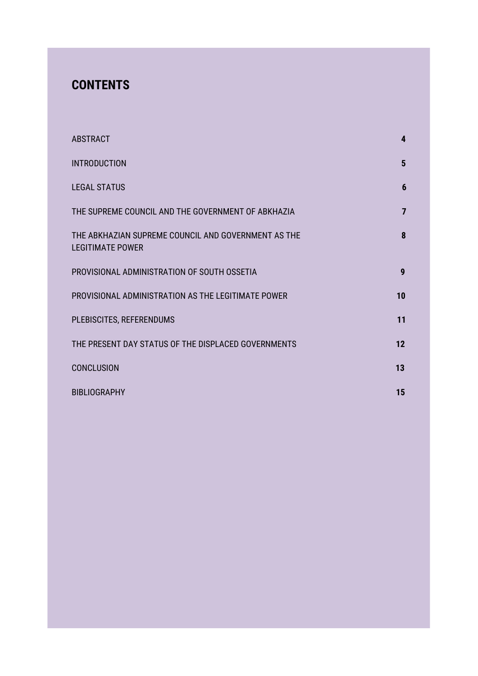## **CONTENTS**

| <b>ABSTRACT</b>                                                                | 4              |
|--------------------------------------------------------------------------------|----------------|
| <b>INTRODUCTION</b>                                                            | $5\phantom{1}$ |
| <b>LEGAL STATUS</b>                                                            | 6              |
| THE SUPREME COUNCIL AND THE GOVERNMENT OF ABKHAZIA                             | $\overline{7}$ |
| THE ABKHAZIAN SUPREME COUNCIL AND GOVERNMENT AS THE<br><b>LEGITIMATE POWER</b> | 8              |
| PROVISIONAL ADMINISTRATION OF SOUTH OSSETIA                                    | 9              |
| PROVISIONAL ADMINISTRATION AS THE LEGITIMATE POWER                             | 10             |
| PLEBISCITES, REFERENDUMS                                                       | 11             |
| THE PRESENT DAY STATUS OF THE DISPLACED GOVERNMENTS                            | 12             |
| <b>CONCLUSION</b>                                                              | 13             |
| <b>BIBLIOGRAPHY</b>                                                            | 15             |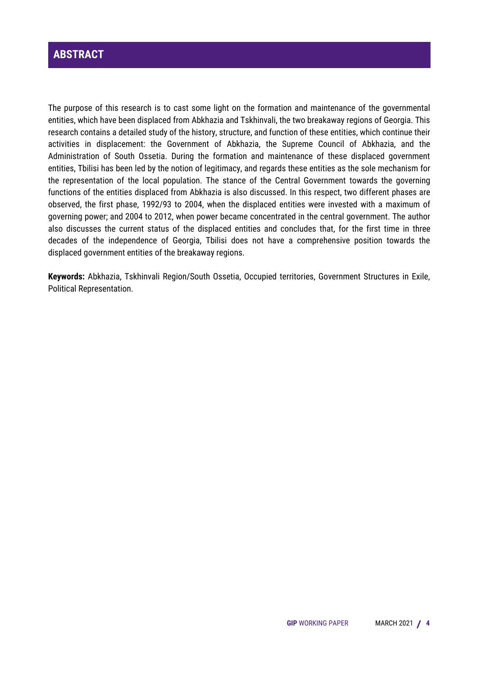#### **ABSTRACT**

The purpose of this research is to cast some light on the formation and maintenance of the governmental entities, which have been displaced from Abkhazia and Tskhinvali, the two breakaway regions of Georgia. This research contains a detailed study of the history, structure, and function of these entities, which continue their activities in displacement: the Government of Abkhazia, the Supreme Council of Abkhazia, and the Administration of South Ossetia. During the formation and maintenance of these displaced government entities, Tbilisi has been led by the notion of legitimacy, and regards these entities as the sole mechanism for the representation of the local population. The stance of the Central Government towards the governing functions of the entities displaced from Abkhazia is also discussed. In this respect, two different phases are observed, the first phase, 1992/93 to 2004, when the displaced entities were invested with a maximum of governing power; and 2004 to 2012, when power became concentrated in the central government. The author also discusses the current status of the displaced entities and concludes that, for the first time in three decades of the independence of Georgia, Tbilisi does not have a comprehensive position towards the displaced government entities of the breakaway regions.

**Keywords:** Abkhazia, Tskhinvali Region/South Ossetia, Occupied territories, Government Structures in Exile, Political Representation.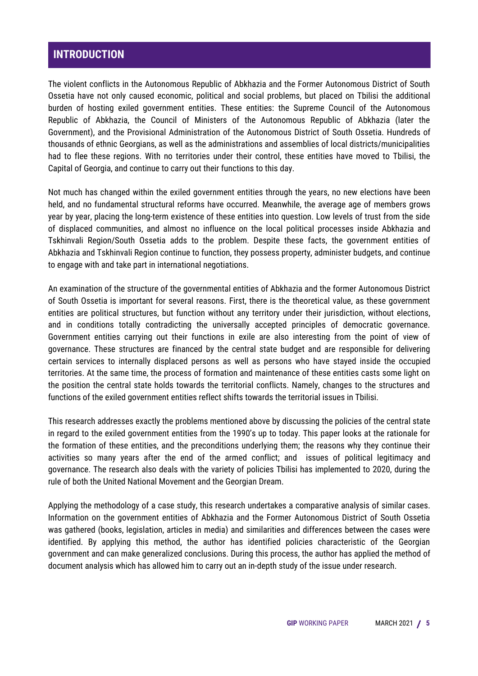#### **INTRODUCTION**

The violent conflicts in the Autonomous Republic of Abkhazia and the Former Autonomous District of South Ossetia have not only caused economic, political and social problems, but placed on Tbilisi the additional burden of hosting exiled government entities. These entities: the Supreme Council of the Autonomous Republic of Abkhazia, the Council of Ministers of the Autonomous Republic of Abkhazia (later the Government), and the Provisional Administration of the Autonomous District of South Ossetia. Hundreds of thousands of ethnic Georgians, as well as the administrations and assemblies of local districts/municipalities had to flee these regions. With no territories under their control, these entities have moved to Tbilisi, the Capital of Georgia, and continue to carry out their functions to this day.

Not much has changed within the exiled government entities through the years, no new elections have been held, and no fundamental structural reforms have occurred. Meanwhile, the average age of members grows year by year, placing the long-term existence of these entities into question. Low levels of trust from the side of displaced communities, and almost no influence on the local political processes inside Abkhazia and Tskhinvali Region/South Ossetia adds to the problem. Despite these facts, the government entities of Abkhazia and Tskhinvali Region continue to function, they possess property, administer budgets, and continue to engage with and take part in international negotiations.

An examination of the structure of the governmental entities of Abkhazia and the former Autonomous District of South Ossetia is important for several reasons. First, there is the theoretical value, as these government entities are political structures, but function without any territory under their jurisdiction, without elections, and in conditions totally contradicting the universally accepted principles of democratic governance. Government entities carrying out their functions in exile are also interesting from the point of view of governance. These structures are financed by the central state budget and are responsible for delivering certain services to internally displaced persons as well as persons who have stayed inside the occupied territories. At the same time, the process of formation and maintenance of these entities casts some light on the position the central state holds towards the territorial conflicts. Namely, changes to the structures and functions of the exiled government entities reflect shifts towards the territorial issues in Tbilisi.

This research addresses exactly the problems mentioned above by discussing the policies of the central state in regard to the exiled government entities from the 1990's up to today. This paper looks at the rationale for the formation of these entities, and the preconditions underlying them; the reasons why they continue their activities so many years after the end of the armed conflict; and issues of political legitimacy and governance. The research also deals with the variety of policies Tbilisi has implemented to 2020, during the rule of both the United National Movement and the Georgian Dream.

Applying the methodology of a case study, this research undertakes a comparative analysis of similar cases. Information on the government entities of Abkhazia and the Former Autonomous District of South Ossetia was gathered (books, legislation, articles in media) and similarities and differences between the cases were identified. By applying this method, the author has identified policies characteristic of the Georgian government and can make generalized conclusions. During this process, the author has applied the method of document analysis which has allowed him to carry out an in-depth study of the issue under research.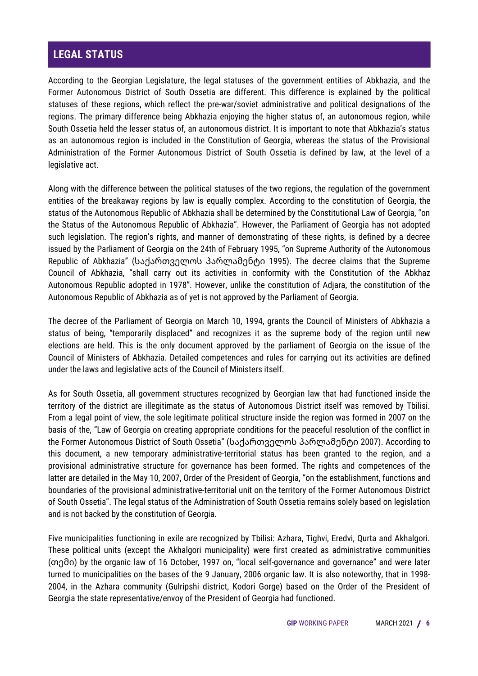#### **LEGAL STATUS**

According to the Georgian Legislature, the legal statuses of the government entities of Abkhazia, and the Former Autonomous District of South Ossetia are different. This difference is explained by the political statuses of these regions, which reflect the pre-war/soviet administrative and political designations of the regions. The primary difference being Abkhazia enjoying the higher status of, an autonomous region, while South Ossetia held the lesser status of, an autonomous district. It is important to note that Abkhazia's status as an autonomous region is included in the Constitution of Georgia, whereas the status of the Provisional Administration of the Former Autonomous District of South Ossetia is defined by law, at the level of a legislative act.

Along with the difference between the political statuses of the two regions, the regulation of the government entities of the breakaway regions by law is equally complex. According to the constitution of Georgia, the status of the Autonomous Republic of Abkhazia shall be determined by the Constitutional Law of Georgia, "on the Status of the Autonomous Republic of Abkhazia". However, the Parliament of Georgia has not adopted such legislation. The region's rights, and manner of demonstrating of these rights, is defined by a decree issued by the Parliament of Georgia on the 24th of February 1995, "on Supreme Authority of the Autonomous Republic of Abkhazia" (საქართველოს პარლამენტი 1995). The decree claims that the Supreme Council of Abkhazia, "shall carry out its activities in conformity with the Constitution of the Abkhaz Autonomous Republic adopted in 1978". However, unlike the constitution of Adjara, the constitution of the Autonomous Republic of Abkhazia as of yet is not approved by the Parliament of Georgia.

The decree of the Parliament of Georgia on March 10, 1994, grants the Council of Ministers of Abkhazia a status of being, "temporarily displaced" and recognizes it as the supreme body of the region until new elections are held. This is the only document approved by the parliament of Georgia on the issue of the Council of Ministers of Abkhazia. Detailed competences and rules for carrying out its activities are defined under the laws and legislative acts of the Council of Ministers itself.

As for South Ossetia, all government structures recognized by Georgian law that had functioned inside the territory of the district are illegitimate as the status of Autonomous District itself was removed by Tbilisi. From a legal point of view, the sole legitimate political structure inside the region was formed in 2007 on the basis of the, "Law of Georgia on creating appropriate conditions for the peaceful resolution of the conflict in the Former Autonomous District of South Ossetia" (საქართველოს პარლამენტი 2007). According to this document, a new temporary administrative-territorial status has been granted to the region, and a provisional administrative structure for governance has been formed. The rights and competences of the latter are detailed in the May 10, 2007, Order of the President of Georgia, "on the establishment, functions and boundaries of the provisional administrative-territorial unit on the territory of the Former Autonomous District of South Ossetia". The legal status of the Administration of South Ossetia remains solely based on legislation and is not backed by the constitution of Georgia.

Five municipalities functioning in exile are recognized by Tbilisi: Azhara, Tighvi, Eredvi, Qurta and Akhalgori. These political units (except the Akhalgori municipality) were first created as administrative communities (თემი) by the organic law of 16 October, 1997 on, "local self-governance and governance" and were later turned to municipalities on the bases of the 9 January, 2006 organic law. It is also noteworthy, that in 1998- 2004, in the Azhara community (Gulripshi district, Kodori Gorge) based on the Order of the President of Georgia the state representative/envoy of the President of Georgia had functioned.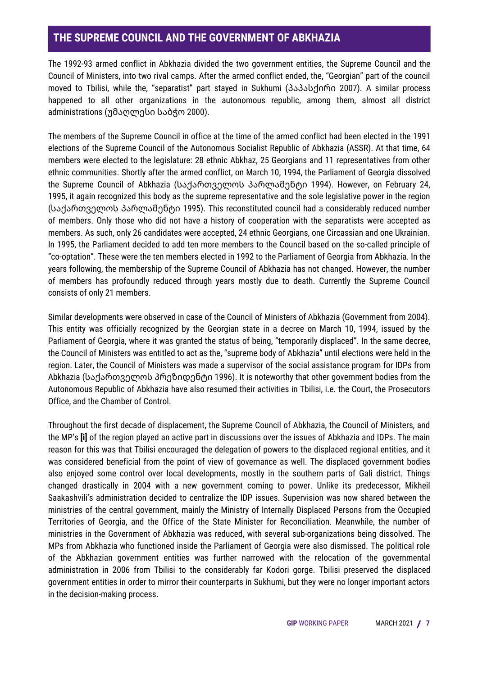#### **THE SUPREME COUNCIL AND THE GOVERNMENT OF ABKHAZIA**

The 1992-93 armed conflict in Abkhazia divided the two government entities, the Supreme Council and the Council of Ministers, into two rival camps. After the armed conflict ended, the, "Georgian" part of the council moved to Tbilisi, while the, "separatist" part stayed in Sukhumi (პაპასქირი 2007). A similar process happened to all other organizations in the autonomous republic, among them, almost all district administrations (უმაღლესი საბჭო 2000).

The members of the Supreme Council in office at the time of the armed conflict had been elected in the 1991 elections of the Supreme Council of the Autonomous Socialist Republic of Abkhazia (ASSR). At that time, 64 members were elected to the legislature: 28 ethnic Abkhaz, 25 Georgians and 11 representatives from other ethnic communities. Shortly after the armed conflict, on March 10, 1994, the Parliament of Georgia dissolved the Supreme Council of Abkhazia (საქართველოს პარლამენტი 1994). However, on February 24, 1995, it again recognized this body as the supreme representative and the sole legislative power in the region (საქართველოს პარლამენტი 1995). This reconstituted council had a considerably reduced number of members. Only those who did not have a history of cooperation with the separatists were accepted as members. As such, only 26 candidates were accepted, 24 ethnic Georgians, one Circassian and one Ukrainian. In 1995, the Parliament decided to add ten more members to the Council based on the so-called principle of "co-optation". These were the ten members elected in 1992 to the Parliament of Georgia from Abkhazia. In the years following, the membership of the Supreme Council of Abkhazia has not changed. However, the number of members has profoundly reduced through years mostly due to death. Currently the Supreme Council consists of only 21 members.

Similar developments were observed in case of the Council of Ministers of Abkhazia (Government from 2004). This entity was officially recognized by the Georgian state in a decree on March 10, 1994, issued by the Parliament of Georgia, where it was granted the status of being, "temporarily displaced". In the same decree, the Council of Ministers was entitled to act as the, "supreme body of Abkhazia" until elections were held in the region. Later, the Council of Ministers was made a supervisor of the social assistance program for IDPs from Abkhazia (საქართველოს პრეზიდენტი 1996). It is noteworthy that other government bodies from the Autonomous Republic of Abkhazia have also resumed their activities in Tbilisi, i.e. the Court, the Prosecutors Office, and the Chamber of Control.

Throughout the first decade of displacement, the Supreme Council of Abkhazia, the Council of Ministers, and the MP's **[i]** of the region played an active part in discussions over the issues of Abkhazia and IDPs. The main reason for this was that Tbilisi encouraged the delegation of powers to the displaced regional entities, and it was considered beneficial from the point of view of governance as well. The displaced government bodies also enjoyed some control over local developments, mostly in the southern parts of Gali district. Things changed drastically in 2004 with a new government coming to power. Unlike its predecessor, Mikheil Saakashvili's administration decided to centralize the IDP issues. Supervision was now shared between the ministries of the central government, mainly the Ministry of Internally Displaced Persons from the Occupied Territories of Georgia, and the Office of the State Minister for Reconciliation. Meanwhile, the number of ministries in the Government of Abkhazia was reduced, with several sub-organizations being dissolved. The MPs from Abkhazia who functioned inside the Parliament of Georgia were also dismissed. The political role of the Abkhazian government entities was further narrowed with the relocation of the governmental administration in 2006 from Tbilisi to the considerably far Kodori gorge. Tbilisi preserved the displaced government entities in order to mirror their counterparts in Sukhumi, but they were no longer important actors in the decision-making process.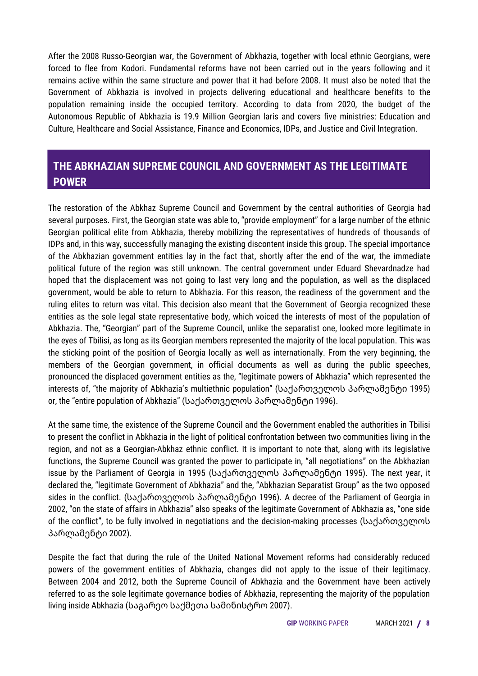After the 2008 Russo-Georgian war, the Government of Abkhazia, together with local ethnic Georgians, were forced to flee from Kodori. Fundamental reforms have not been carried out in the years following and it remains active within the same structure and power that it had before 2008. It must also be noted that the Government of Abkhazia is involved in projects delivering educational and healthcare benefits to the population remaining inside the occupied territory. According to data from 2020, the budget of the Autonomous Republic of Abkhazia is 19.9 Million Georgian laris and covers five ministries: Education and Culture, Healthcare and Social Assistance, Finance and Economics, IDPs, and Justice and Civil Integration.

#### **THE ABKHAZIAN SUPREME COUNCIL AND GOVERNMENT AS THE LEGITIMATE POWER**

The restoration of the Abkhaz Supreme Council and Government by the central authorities of Georgia had several purposes. First, the Georgian state was able to, "provide employment" for a large number of the ethnic Georgian political elite from Abkhazia, thereby mobilizing the representatives of hundreds of thousands of IDPs and, in this way, successfully managing the existing discontent inside this group. The special importance of the Abkhazian government entities lay in the fact that, shortly after the end of the war, the immediate political future of the region was still unknown. The central government under Eduard Shevardnadze had hoped that the displacement was not going to last very long and the population, as well as the displaced government, would be able to return to Abkhazia. For this reason, the readiness of the government and the ruling elites to return was vital. This decision also meant that the Government of Georgia recognized these entities as the sole legal state representative body, which voiced the interests of most of the population of Abkhazia. The, "Georgian" part of the Supreme Council, unlike the separatist one, looked more legitimate in the eyes of Tbilisi, as long as its Georgian members represented the majority of the local population. This was the sticking point of the position of Georgia locally as well as internationally. From the very beginning, the members of the Georgian government, in official documents as well as during the public speeches, pronounced the displaced government entities as the, "legitimate powers of Abkhazia" which represented the interests of, "the majority of Abkhazia's multiethnic population" (საქართველოს პარლამენტი 1995) or, the "entire population of Abkhazia" (საქართველოს პარლამენტი 1996).

At the same time, the existence of the Supreme Council and the Government enabled the authorities in Tbilisi to present the conflict in Abkhazia in the light of political confrontation between two communities living in the region, and not as a Georgian-Abkhaz ethnic conflict. It is important to note that, along with its legislative functions, the Supreme Council was granted the power to participate in, "all negotiations" on the Abkhazian issue by the Parliament of Georgia in 1995 (საქართველოს პარლამენტი 1995). The next year, it declared the, "legitimate Government of Abkhazia" and the, "Abkhazian Separatist Group" as the two opposed sides in the conflict. (საქართველოს პარლამენტი 1996). A decree of the Parliament of Georgia in 2002, "on the state of affairs in Abkhazia" also speaks of the legitimate Government of Abkhazia as, "one side of the conflict", to be fully involved in negotiations and the decision-making processes (საქართველოს პარლამენტი 2002).

Despite the fact that during the rule of the United National Movement reforms had considerably reduced powers of the government entities of Abkhazia, changes did not apply to the issue of their legitimacy. Between 2004 and 2012, both the Supreme Council of Abkhazia and the Government have been actively referred to as the sole legitimate governance bodies of Abkhazia, representing the majority of the population living inside Abkhazia (საგარეო საქმეთა სამინისტრო 2007).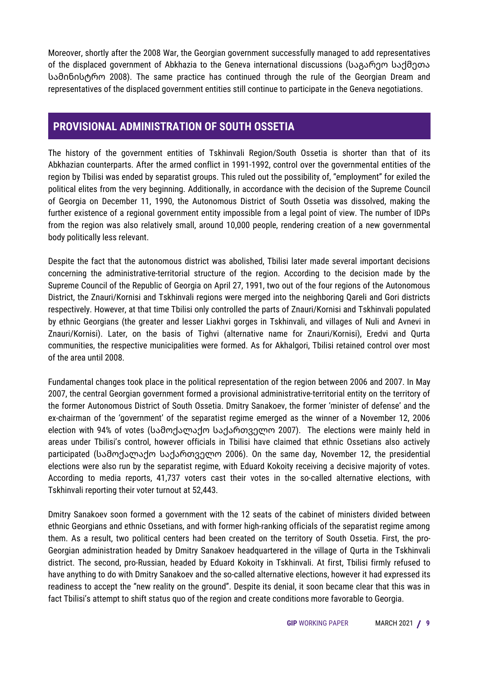Moreover, shortly after the 2008 War, the Georgian government successfully managed to add representatives of the displaced government of Abkhazia to the Geneva international discussions (საგარეო საქმეთა სამინისტრო 2008). The same practice has continued through the rule of the Georgian Dream and representatives of the displaced government entities still continue to participate in the Geneva negotiations.

#### **PROVISIONAL ADMINISTRATION OF SOUTH OSSETIA**

The history of the government entities of Tskhinvali Region/South Ossetia is shorter than that of its Abkhazian counterparts. After the armed conflict in 1991-1992, control over the governmental entities of the region by Tbilisi was ended by separatist groups. This ruled out the possibility of, "employment" for exiled the political elites from the very beginning. Additionally, in accordance with the decision of the Supreme Council of Georgia on December 11, 1990, the Autonomous District of South Ossetia was dissolved, making the further existence of a regional government entity impossible from a legal point of view. The number of IDPs from the region was also relatively small, around 10,000 people, rendering creation of a new governmental body politically less relevant.

Despite the fact that the autonomous district was abolished, Tbilisi later made several important decisions concerning the administrative-territorial structure of the region. According to the decision made by the Supreme Council of the Republic of Georgia on April 27, 1991, two out of the four regions of the Autonomous District, the Znauri/Kornisi and Tskhinvali regions were merged into the neighboring Qareli and Gori districts respectively. However, at that time Tbilisi only controlled the parts of Znauri/Kornisi and Tskhinvali populated by ethnic Georgians (the greater and lesser Liakhvi gorges in Tskhinvali, and villages of Nuli and Avnevi in Znauri/Kornisi). Later, on the basis of Tighvi (alternative name for Znauri/Kornisi), Eredvi and Qurta communities, the respective municipalities were formed. As for Akhalgori, Tbilisi retained control over most of the area until 2008.

Fundamental changes took place in the political representation of the region between 2006 and 2007. In May 2007, the central Georgian government formed a provisional administrative-territorial entity on the territory of the former Autonomous District of South Ossetia. Dmitry Sanakoev, the former 'minister of defense' and the ex-chairman of the 'government' of the separatist regime emerged as the winner of a November 12, 2006 election with 94% of votes (სამოქალაქო საქართველო 2007). The elections were mainly held in areas under Tbilisi's control, however officials in Tbilisi have claimed that ethnic Ossetians also actively participated (სამოქალაქო საქართველო 2006). On the same day, November 12, the presidential elections were also run by the separatist regime, with Eduard Kokoity receiving a decisive majority of votes. According to media reports, 41,737 voters cast their votes in the so-called alternative elections, with Tskhinvali reporting their voter turnout at 52,443.

Dmitry Sanakoev soon formed a government with the 12 seats of the cabinet of ministers divided between ethnic Georgians and ethnic Ossetians, and with former high-ranking officials of the separatist regime among them. As a result, two political centers had been created on the territory of South Ossetia. First, the pro-Georgian administration headed by Dmitry Sanakoev headquartered in the village of Qurta in the Tskhinvali district. The second, pro-Russian, headed by Eduard Kokoity in Tskhinvali. At first, Tbilisi firmly refused to have anything to do with Dmitry Sanakoev and the so-called alternative elections, however it had expressed its readiness to accept the "new reality on the ground". Despite its denial, it soon became clear that this was in fact Tbilisi's attempt to shift status quo of the region and create conditions more favorable to Georgia.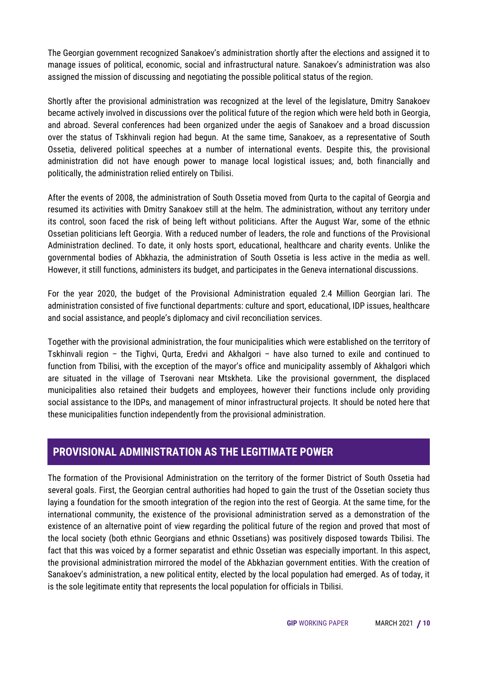The Georgian government recognized Sanakoev's administration shortly after the elections and assigned it to manage issues of political, economic, social and infrastructural nature. Sanakoev's administration was also assigned the mission of discussing and negotiating the possible political status of the region.

Shortly after the provisional administration was recognized at the level of the legislature, Dmitry Sanakoev became actively involved in discussions over the political future of the region which were held both in Georgia, and abroad. Several conferences had been organized under the aegis of Sanakoev and a broad discussion over the status of Tskhinvali region had begun. At the same time, Sanakoev, as a representative of South Ossetia, delivered political speeches at a number of international events. Despite this, the provisional administration did not have enough power to manage local logistical issues; and, both financially and politically, the administration relied entirely on Tbilisi.

After the events of 2008, the administration of South Ossetia moved from Qurta to the capital of Georgia and resumed its activities with Dmitry Sanakoev still at the helm. The administration, without any territory under its control, soon faced the risk of being left without politicians. After the August War, some of the ethnic Ossetian politicians left Georgia. With a reduced number of leaders, the role and functions of the Provisional Administration declined. To date, it only hosts sport, educational, healthcare and charity events. Unlike the governmental bodies of Abkhazia, the administration of South Ossetia is less active in the media as well. However, it still functions, administers its budget, and participates in the Geneva international discussions.

For the year 2020, the budget of the Provisional Administration equaled 2.4 Million Georgian lari. The administration consisted of five functional departments: culture and sport, educational, IDP issues, healthcare and social assistance, and people's diplomacy and civil reconciliation services.

Together with the provisional administration, the four municipalities which were established on the territory of Tskhinvali region – the Tighvi, Qurta, Eredvi and Akhalgori – have also turned to exile and continued to function from Tbilisi, with the exception of the mayor's office and municipality assembly of Akhalgori which are situated in the village of Tserovani near Mtskheta. Like the provisional government, the displaced municipalities also retained their budgets and employees, however their functions include only providing social assistance to the IDPs, and management of minor infrastructural projects. It should be noted here that these municipalities function independently from the provisional administration.

#### **PROVISIONAL ADMINISTRATION AS THE LEGITIMATE POWER**

The formation of the Provisional Administration on the territory of the former District of South Ossetia had several goals. First, the Georgian central authorities had hoped to gain the trust of the Ossetian society thus laying a foundation for the smooth integration of the region into the rest of Georgia. At the same time, for the international community, the existence of the provisional administration served as a demonstration of the existence of an alternative point of view regarding the political future of the region and proved that most of the local society (both ethnic Georgians and ethnic Ossetians) was positively disposed towards Tbilisi. The fact that this was voiced by a former separatist and ethnic Ossetian was especially important. In this aspect, the provisional administration mirrored the model of the Abkhazian government entities. With the creation of Sanakoev's administration, a new political entity, elected by the local population had emerged. As of today, it is the sole legitimate entity that represents the local population for officials in Tbilisi.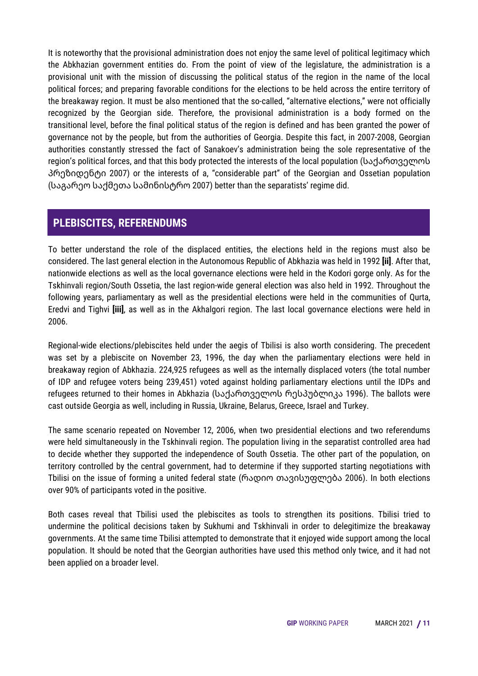It is noteworthy that the provisional administration does not enjoy the same level of political legitimacy which the Abkhazian government entities do. From the point of view of the legislature, the administration is a provisional unit with the mission of discussing the political status of the region in the name of the local political forces; and preparing favorable conditions for the elections to be held across the entire territory of the breakaway region. It must be also mentioned that the so-called, "alternative elections," were not officially recognized by the Georgian side. Therefore, the provisional administration is a body formed on the transitional level, before the final political status of the region is defined and has been granted the power of governance not by the people, but from the authorities of Georgia. Despite this fact, in 2007-2008, Georgian authorities constantly stressed the fact of Sanakoev's administration being the sole representative of the region's political forces, and that this body protected the interests of the local population (საქართველოს პრეზიდენტი 2007) or the interests of a, "considerable part" of the Georgian and Ossetian population (საგარეო საქმეთა სამინისტრო 2007) better than the separatists' regime did.

#### **PLEBISCITES, REFERENDUMS**

To better understand the role of the displaced entities, the elections held in the regions must also be considered. The last general election in the Autonomous Republic of Abkhazia was held in 1992 **[ii]**. After that, nationwide elections as well as the local governance elections were held in the Kodori gorge only. As for the Tskhinvali region/South Ossetia, the last region-wide general election was also held in 1992. Throughout the following years, parliamentary as well as the presidential elections were held in the communities of Qurta, Eredvi and Tighvi **[iii]**, as well as in the Akhalgori region. The last local governance elections were held in 2006.

Regional-wide elections/plebiscites held under the aegis of Tbilisi is also worth considering. The precedent was set by a plebiscite on November 23, 1996, the day when the parliamentary elections were held in breakaway region of Abkhazia. 224,925 refugees as well as the internally displaced voters (the total number of IDP and refugee voters being 239,451) voted against holding parliamentary elections until the IDPs and refugees returned to their homes in Abkhazia (საქართველოს რესპუბლიკა 1996). The ballots were cast outside Georgia as well, including in Russia, Ukraine, Belarus, Greece, Israel and Turkey.

The same scenario repeated on November 12, 2006, when two presidential elections and two referendums were held simultaneously in the Tskhinvali region. The population living in the separatist controlled area had to decide whether they supported the independence of South Ossetia. The other part of the population, on territory controlled by the central government, had to determine if they supported starting negotiations with Tbilisi on the issue of forming a united federal state (რადიო თავისუფლება 2006). In both elections over 90% of participants voted in the positive.

Both cases reveal that Tbilisi used the plebiscites as tools to strengthen its positions. Tbilisi tried to undermine the political decisions taken by Sukhumi and Tskhinvali in order to delegitimize the breakaway governments. At the same time Tbilisi attempted to demonstrate that it enjoyed wide support among the local population. It should be noted that the Georgian authorities have used this method only twice, and it had not been applied on a broader level.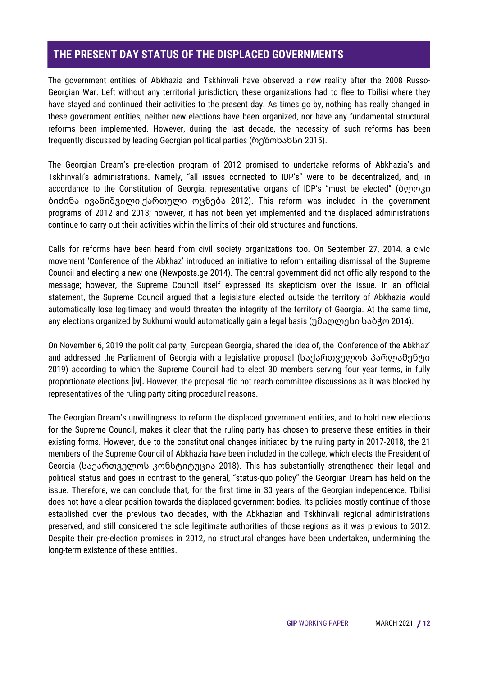#### **THE PRESENT DAY STATUS OF THE DISPLACED GOVERNMENTS**

The government entities of Abkhazia and Tskhinvali have observed a new reality after the 2008 Russo-Georgian War. Left without any territorial jurisdiction, these organizations had to flee to Tbilisi where they have stayed and continued their activities to the present day. As times go by, nothing has really changed in these government entities; neither new elections have been organized, nor have any fundamental structural reforms been implemented. However, during the last decade, the necessity of such reforms has been frequently discussed by leading Georgian political parties (რეზონანსი 2015).

The Georgian Dream's pre-election program of 2012 promised to undertake reforms of Abkhazia's and Tskhinvali's administrations. Namely, "all issues connected to IDP's" were to be decentralized, and, in accordance to the Constitution of Georgia, representative organs of IDP's "must be elected" (ბლოკი ბიძინა ივანიშვილი-ქართული ოცნება 2012). This reform was included in the government programs of 2012 and 2013; however, it has not been yet implemented and the displaced administrations continue to carry out their activities within the limits of their old structures and functions.

Calls for reforms have been heard from civil society organizations too. On September 27, 2014, a civic movement 'Conference of the Abkhaz' introduced an initiative to reform entailing dismissal of the Supreme Council and electing a new one (Newposts.ge 2014). The central government did not officially respond to the message; however, the Supreme Council itself expressed its skepticism over the issue. In an official statement, the Supreme Council argued that a legislature elected outside the territory of Abkhazia would automatically lose legitimacy and would threaten the integrity of the territory of Georgia. At the same time, any elections organized by Sukhumi would automatically gain a legal basis (უმაღლესი საბჭო 2014).

On November 6, 2019 the political party, European Georgia, shared the idea of, the 'Conference of the Abkhaz' and addressed the Parliament of Georgia with a legislative proposal (საქართველოს პარლამენტი 2019) according to which the Supreme Council had to elect 30 members serving four year terms, in fully proportionate elections **[iv].** However, the proposal did not reach committee discussions as it was blocked by representatives of the ruling party citing procedural reasons.

The Georgian Dream's unwillingness to reform the displaced government entities, and to hold new elections for the Supreme Council, makes it clear that the ruling party has chosen to preserve these entities in their existing forms. However, due to the constitutional changes initiated by the ruling party in 2017-2018, the 21 members of the Supreme Council of Abkhazia have been included in the college, which elects the President of Georgia (საქართველოს კონსტიტუცია 2018). This has substantially strengthened their legal and political status and goes in contrast to the general, "status-quo policy" the Georgian Dream has held on the issue. Therefore, we can conclude that, for the first time in 30 years of the Georgian independence, Tbilisi does not have a clear position towards the displaced government bodies. Its policies mostly continue of those established over the previous two decades, with the Abkhazian and Tskhinvali regional administrations preserved, and still considered the sole legitimate authorities of those regions as it was previous to 2012. Despite their pre-election promises in 2012, no structural changes have been undertaken, undermining the long-term existence of these entities.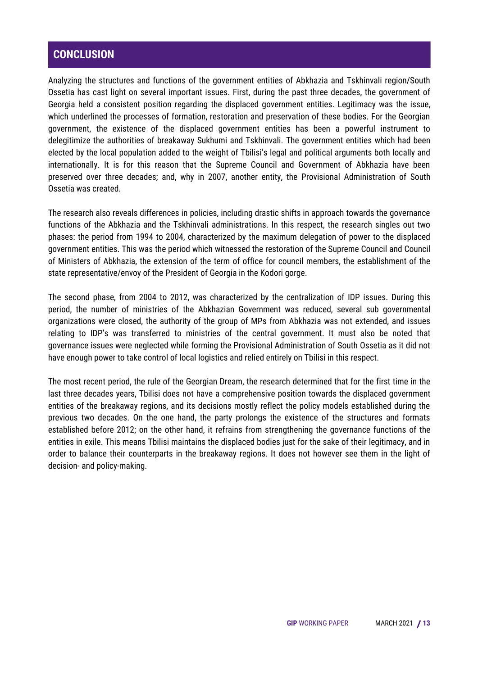#### **CONCLUSION**

Analyzing the structures and functions of the government entities of Abkhazia and Tskhinvali region/South Ossetia has cast light on several important issues. First, during the past three decades, the government of Georgia held a consistent position regarding the displaced government entities. Legitimacy was the issue, which underlined the processes of formation, restoration and preservation of these bodies. For the Georgian government, the existence of the displaced government entities has been a powerful instrument to delegitimize the authorities of breakaway Sukhumi and Tskhinvali. The government entities which had been elected by the local population added to the weight of Tbilisi's legal and political arguments both locally and internationally. It is for this reason that the Supreme Council and Government of Abkhazia have been preserved over three decades; and, why in 2007, another entity, the Provisional Administration of South Ossetia was created.

The research also reveals differences in policies, including drastic shifts in approach towards the governance functions of the Abkhazia and the Tskhinvali administrations. In this respect, the research singles out two phases: the period from 1994 to 2004, characterized by the maximum delegation of power to the displaced government entities. This was the period which witnessed the restoration of the Supreme Council and Council of Ministers of Abkhazia, the extension of the term of office for council members, the establishment of the state representative/envoy of the President of Georgia in the Kodori gorge.

The second phase, from 2004 to 2012, was characterized by the centralization of IDP issues. During this period, the number of ministries of the Abkhazian Government was reduced, several sub governmental organizations were closed, the authority of the group of MPs from Abkhazia was not extended, and issues relating to IDP's was transferred to ministries of the central government. It must also be noted that governance issues were neglected while forming the Provisional Administration of South Ossetia as it did not have enough power to take control of local logistics and relied entirely on Tbilisi in this respect.

The most recent period, the rule of the Georgian Dream, the research determined that for the first time in the last three decades years, Tbilisi does not have a comprehensive position towards the displaced government entities of the breakaway regions, and its decisions mostly reflect the policy models established during the previous two decades. On the one hand, the party prolongs the existence of the structures and formats established before 2012; on the other hand, it refrains from strengthening the governance functions of the entities in exile. This means Tbilisi maintains the displaced bodies just for the sake of their legitimacy, and in order to balance their counterparts in the breakaway regions. It does not however see them in the light of decision- and policy-making.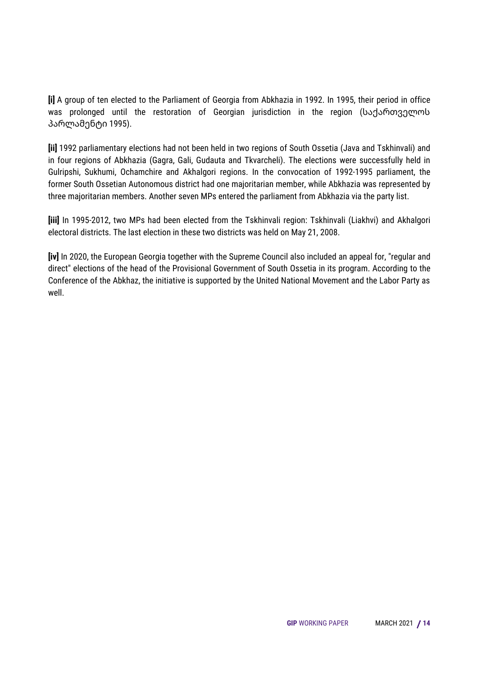**[i]** A group of ten elected to the Parliament of Georgia from Abkhazia in 1992. In 1995, their period in office was prolonged until the restoration of Georgian jurisdiction in the region (საქართველოს პარლამენტი 1995).

**[ii]** 1992 parliamentary elections had not been held in two regions of South Ossetia (Java and Tskhinvali) and in four regions of Abkhazia (Gagra, Gali, Gudauta and Tkvarcheli). The elections were successfully held in Gulripshi, Sukhumi, Ochamchire and Akhalgori regions. In the convocation of 1992-1995 parliament, the former South Ossetian Autonomous district had one majoritarian member, while Abkhazia was represented by three majoritarian members. Another seven MPs entered the parliament from Abkhazia via the party list.

**[iii]** In 1995-2012, two MPs had been elected from the Tskhinvali region: Tskhinvali (Liakhvi) and Akhalgori electoral districts. The last election in these two districts was held on May 21, 2008.

**[iv]** In 2020, the European Georgia together with the Supreme Council also included an appeal for, "regular and direct" elections of the head of the Provisional Government of South Ossetia in its program. According to the Conference of the Abkhaz, the initiative is supported by the United National Movement and the Labor Party as well.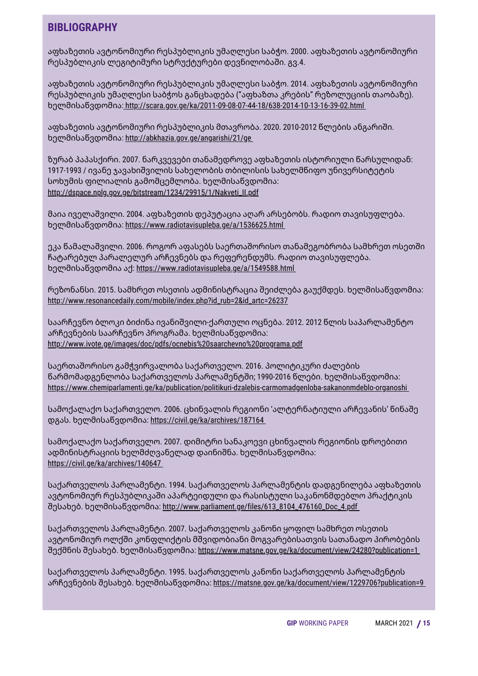#### **BIBLIOGRAPHY**

აფხაზეთის ავტონომიური რესპუბლიკის უმაღლესი საბჭო. 2000. აფხაზეთის ავტონომიური რესპუბლიკის ლეგიტიმური სტრუქტურები დევნილობაში. გვ.4.

აფხაზეთის ავტონომიური რესპუბლიკის უმაღლესი საბჭო. 2014. აფხაზეთის ავტონომიური რესპუბლიკის უმაღლესი საბჭოს განცხადება ("აფხაზთა კრების" რეზოლუციის თაობაზე). ხელმისაწვდომია: <http://scara.gov.ge/ka/2011-09-08-07-44-18/638-2014-10-13-16-39-02.html>

აფხაზეთის ავტონომიური რესპუბლიკის მთავრობა. 2020. 2010-2012 წლების ანგარიში. ხელმისაწვდომია: <http://abkhazia.gov.ge/angarishi/21/ge>

ზურაბ პაპასქირი. 2007. ნარკვევები თანამედროვე აფხაზეთის ისტორიული წარსულიდან: 1917-1993 / ივანე ჯავახიშვილის სახელობის თბილისის სახელმწიფო უნივერსიტეტის სოხუმის ფილიალის გამომცემლობა. ხელმისაწვდომია: [http://dspace.nplg.gov.ge/bitstream/1234/29915/1/Nakveti\\_II.pdf](http://dspace.nplg.gov.ge/bitstream/1234/29915/1/Nakveti_II.pdf)

მაია იველაშვილი. 2004. აფხაზეთის დეპუტაცია აღარ არსებობს. რადიო თავისუფლება. ხელმისაწვდომია: <https://www.radiotavisupleba.ge/a/1536625.html>

ეკა წამალაშვილი. 2006. როგორ აფასებს საერთაშორისო თანამეგობრობა სამხრეთ ოსეთში ჩატარებულ პარალელურ არჩევნებს და რეფერენდუმს. რადიო თავისუფლება. ხელმისაწვდომია აქ: <https://www.radiotavisupleba.ge/a/1549588.html>

რეზონანსი. 2015. სამხრეთ ოსეთის ადმინისტრაცია შეიძლება გაუქმდეს. ხელმისაწვდომია: [http://www.resonancedaily.com/mobile/index.php?id\\_rub=2&id\\_artc=26237](http://www.resonancedaily.com/mobile/index.php?id_rub=2&id_artc=26237)

საარჩევნო ბლოკი ბიძინა ივანიშვილი-ქართული ოცნება. 2012. 2012 წლის საპარლამენტო არჩევნების საარჩევნო პროგრამა. ხელმისაწვდომია: <http://www.ivote.ge/images/doc/pdfs/ocnebis%20saarchevno%20programa.pdf>

საერთაშორისო გამჭვირვალობა საქართველო. 2016. პოლიტიკური ძალების წარმომადგენლობა საქართველოს პარლამენტში; 1990-2016 წლები. ხელმისაწვდომია: <https://www.chemiparlamenti.ge/ka/publication/politikuri-dzalebis-carmomadgenloba-sakanonmdeblo-organoshi>

სამოქალაქო საქართველო. 2006. ცხინვალის რეგიონი 'ალტერნატიული არჩევანის' წინაშე დგას. ხელმისაწვდომია: <https://civil.ge/ka/archives/187164>

სამოქალაქო საქართველო. 2007. დიმიტრი სანაკოევი ცხინვალის რეგიონის დროებითი ადმინისტრაციის ხელმძღვანელად დაინიშნა. ხელმისაწვდომია: <https://civil.ge/ka/archives/140647>

საქართველოს პარლამენტი. 1994. საქართველოს პარლამენტის დადგენილება აფხაზეთის ავტონომიურ რესპუბლიკაში აპარტეიდული და რასისტული საკანონმდებლო პრაქტიკის შესახებ. ხელმისაწვდომია: [http://www.parliament.ge/files/613\\_8104\\_476160\\_Doc\\_4.pdf](http://www.parliament.ge/files/613_8104_476160_Doc_4.pdf)

საქართველოს პარლამენტი. 2007. საქართველოს კანონი ყოფილ სამხრეთ ოსეთის ავტონომიურ ოლქში კონფლიქტის მშვიდობიანი მოგვარებისათვის სათანადო პირობების შექმნის შესახებ. ხელმისაწვდომია: <https://www.matsne.gov.ge/ka/document/view/24280?publication=1>

საქართველოს პარლამენტი. 1995. საქართველოს კანონი საქართველოს პარლამენტის არჩევნების შესახებ. ხელმისაწვდომია: <https://matsne.gov.ge/ka/document/view/1229706?publication=9>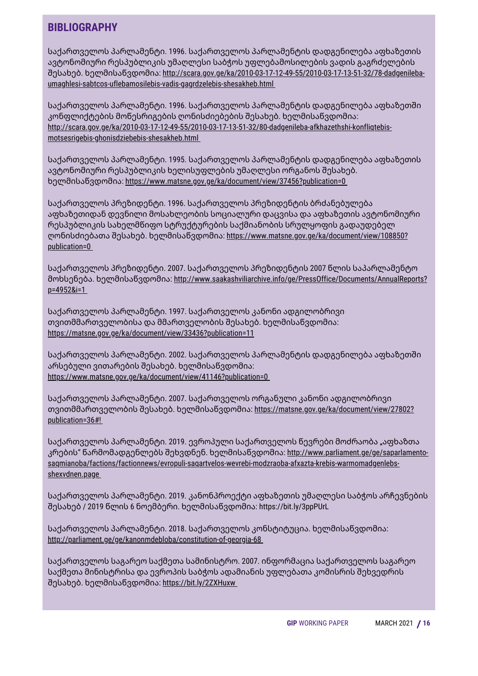#### **BIBLIOGRAPHY**

საქართველოს პარლამენტი. 1996. საქართველოს პარლამენტის დადგენილება აფხაზეთის ავტონომიური რესპუბლიკის უმაღლესი საბჭოს უფლებამოსილების ვადის გაგრძელების შესახებ. ხელმისაწვდომია: [http://scara.gov.ge/ka/2010-03-17-12-49-55/2010-03-17-13-51-32/78-dadgenileba](http://scara.gov.ge/ka/2010-03-17-12-49-55/2010-03-17-13-51-32/78-dadgenileba-umaghlesi-sabtcos-uflebamosilebis-vadis-gagrdzelebis-shesakheb.html)umaghlesi-sabtcos-uflebamosilebis-vadis-gagrdzelebis-shesakheb.htm[l](http://scara.gov.ge/ka/2010-03-17-12-49-55/2010-03-17-13-51-32/78-dadgenileba-umaghlesi-sabtcos-uflebamosilebis-vadis-gagrdzelebis-shesakheb.html)

საქართველოს პარლამენტი. 1996. საქართველოს პარლამენტის დადგენილება აფხაზეთში კონფლიქტების მოწესრიგების ღონისძიებების შესახებ. ხელმისაწვდომია: [http://scara.gov.ge/ka/2010-03-17-12-49-55/2010-03-17-13-51-32/80-dadgenileba-afkhazethshi-konfliqtebis](http://scara.gov.ge/ka/2010-03-17-12-49-55/2010-03-17-13-51-32/80-dadgenileba-afkhazethshi-konfliqtebis-motsesrigebis-ghonisdziebebis-shesakheb.html)motsesrigebis-ghonisdziebebis-shesakheb.htm[l](http://scara.gov.ge/ka/2010-03-17-12-49-55/2010-03-17-13-51-32/80-dadgenileba-afkhazethshi-konfliqtebis-motsesrigebis-ghonisdziebebis-shesakheb.html)

საქართველოს პარლამენტი. 1995. საქართველოს პარლამენტის დადგენილება აფხაზეთის ავტონომიური რესპუბლიკის ხელისუფლების უმაღლესი ორგანოს შესახებ. ხელმისაწვდომია: <https://www.matsne.gov.ge/ka/document/view/37456?publication=0>

საქართველოს პრეზიდენტი. 1996. საქართველოს პრეზიდენტის ბრძანებულება აფხაზეთიდან დევნილი მოსახლეობის სოციალური დაცვისა და აფხაზეთის ავტონომიური რესპუბლიკის სახელმწიფო სტრუქტურების საქმიანობის სრულყოფის გადაუდებელ ღონისძიებათა შესახებ. ხელმისაწვდომია: [https://www.matsne.gov.ge/ka/document/view/108850?](https://www.matsne.gov.ge/ka/document/view/108850?publication=0) publication=[0](https://www.matsne.gov.ge/ka/document/view/108850?publication=0)

საქართველოს პრეზიდენტი. 2007. საქართველოს პრეზიდენტის 2007 წლის საპარლამენტო მოხსენება. ხელმისაწვდომია: [http://www.saakashviliarchive.info/ge/PressOffice/Documents/AnnualReports?](http://www.saakashviliarchive.info/ge/PressOffice/Documents/AnnualReports?p=4952&i=1) p=4952&i=1

საქართველოს პარლამენტი. 1997. საქართველოს კანონი ადგილობრივი თვითმმართველობისა და მმართველობის შესახებ. ხელმისაწვდომია: <https://matsne.gov.ge/ka/document/view/33436?publication=11>

საქართველოს პარლამენტი. 2002. საქართველოს პარლამენტის დადგენილება აფხაზეთში არსებული ვითარების შესახებ. ხელმისაწვდომია: <https://www.matsne.gov.ge/ka/document/view/41146?publication=0>

საქართველოს პარლამენტი. 2007. საქართველოს ორგანული კანონი ადგილობრივი თვითმმართველობის შესახებ. ხელმისაწვდომია: [https://matsne.gov.ge/ka/document/view/27802?](https://matsne.gov.ge/ka/document/view/27802?publication=36) publication=36#!

საქართველოს პარლამენტი. 2019. ევროპული საქართველოს წევრები მოძრაობა "აფხაზთა კრების" წარმომადგენლებს შეხვდნენ. ხელმისაწვდომია: http://www.parliament.ge/ge/saparlamento[saqmianoba/factions/factionnews/evropuli-saqartvelos-wevrebi-modzraoba-afxazta-krebis-warmomadgenlebs](http://www.parliament.ge/ge/saparlamento-saqmianoba/factions/factionnews/evropuli-saqartvelos-wevrebi-modzraoba-afxazta-krebis-warmomadgenlebs-shexvdnen.page)shexvdnen.pag[e](http://www.parliament.ge/ge/saparlamento-saqmianoba/factions/factionnews/evropuli-saqartvelos-wevrebi-modzraoba-afxazta-krebis-warmomadgenlebs-shexvdnen.page)

საქართველოს პარლამენტი. 2019. კანონპროექტი აფხაზეთის უმაღლესი საბჭოს არჩევნების შესახებ / 2019 წლის 6 ნოემბერი. ხელმისაწვდომია: <https://bit.ly/3ppPUrL>

საქართველოს პარლამენტი. 2018. საქართველოს კონსტიტუცია. ხელმისაწვდომია: <http://parliament.ge/ge/kanonmdebloba/constitution-of-georgia-68>

საქართველოს საგარეო საქმეთა სამინისტრო. 2007. ინფორმაცია საქართველოს საგარეო საქმეთა მინისტრისა და ევროპის საბჭოს ადამიანის უფლებათა კომისრის შეხვედრის შესახებ. ხელმისაწვდომია: <https://bit.ly/2ZXHuxw>